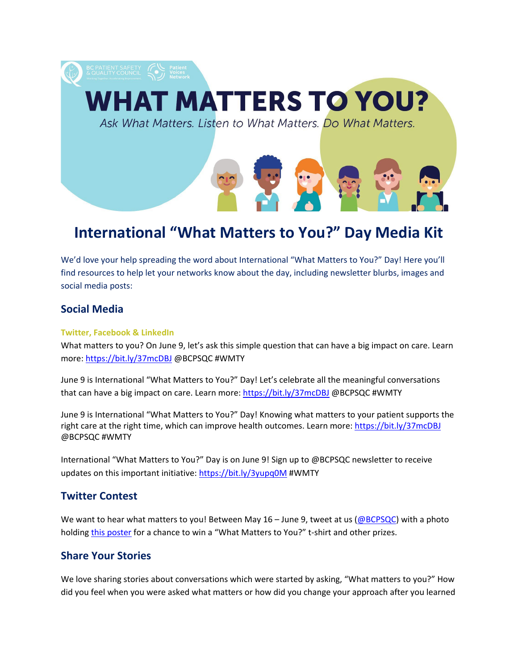

# **International "What Matters to You?" Day Media Kit**

We'd love your help spreading the word about International "What Matters to You?" Day! Here you'll find resources to help let your networks know about the day, including newsletter blurbs, images and social media posts:

## <span id="page-0-0"></span>**Social Media**

#### **Twitter, Facebook & LinkedIn**

What matters to you? On June 9, let's ask this simple question that can have a big impact on care. Learn more:<https://bit.ly/37mcDBJ> @BCPSQC #WMTY

June 9 is International "What Matters to You?" Day! Let's celebrate all the meaningful conversations that can have a big impact on care. Learn more: <https://bit.ly/37mcDBJ> @BCPSQC #WMTY

June 9 is International "What Matters to You?" Day! Knowing what matters to your patient supports the right care at the right time, which can improve health outcomes. Learn more:<https://bit.ly/37mcDBJ> @BCPSQC #WMTY

International "What Matters to You?" Day is on June 9! Sign up to @BCPSQC newsletter to receive updates on this important initiative: <https://bit.ly/3yupq0M> #WMTY

# **Twitter Contest**

We want to hear what matters to you! Between May  $16 -$  June 9, tweet at us ( $@BCPSQC$ ) with a photo holding [this poster](https://bcpsqc.ca/wp-content/uploads/2018/03/HeadofBed_dig-2.pdf) for a chance to win a "What Matters to You?" t-shirt and other prizes.

# **Share Your Stories**

We love sharing stories about conversations which were started by asking, "What matters to you?" How did you feel when you were asked what matters or how did you change your approach after you learned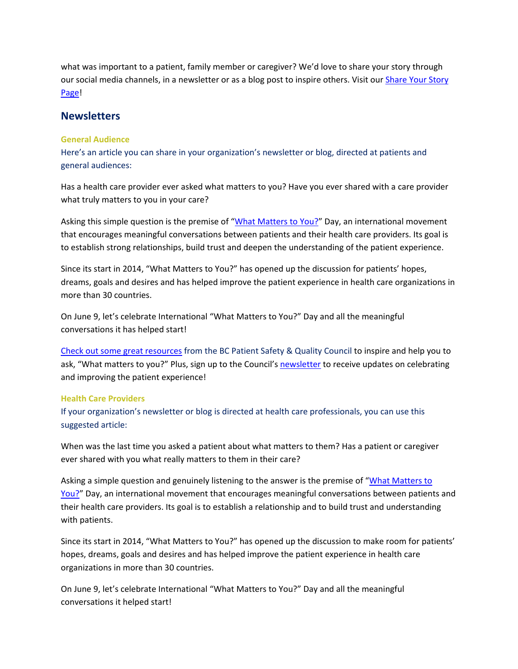what was important to a patient, family member or caregiver? We'd love to share your story through our social media channels, in a newsletter or as a blog post to inspire others. Visit our [Share Your Story](https://bcpsqc.ca/advance-the-patient-voice/what-matters-to-you/share-your-story/)  [Page!](https://bcpsqc.ca/advance-the-patient-voice/what-matters-to-you/share-your-story/)

## <span id="page-1-0"></span>**Newsletters**

#### **General Audience**

Here's an article you can share in your organization's newsletter or blog, directed at patients and general audiences:

Has a health care provider ever asked what matters to you? Have you ever shared with a care provider what truly matters to you in your care?

Asking this simple question is the premise of ["What Matters to You?"](https://bcpsqc.ca/advance-the-patient-voice/what-matters-to-you/) Day, an international movement that encourages meaningful conversations between patients and their health care providers. Its goal is to establish strong relationships, build trust and deepen the understanding of the patient experience.

Since its start in 2014, "What Matters to You?" has opened up the discussion for patients' hopes, dreams, goals and desires and has helped improve the patient experience in health care organizations in more than 30 countries.

On June 9, let's celebrate International "What Matters to You?" Day and all the meaningful conversations it has helped start!

[Check out some great resources](https://bcpsqc.ca/advance-the-patient-voice/what-matters-to-you/download-and-order-resources/) from the BC Patient Safety & Quality Council to inspire and help you to ask, "What matters to you?" Plus, sign up to the Council's [newsletter](https://bcpsqc.ca/about-the-council/our-newsletter/) to receive updates on celebrating and improving the patient experience!

#### **Health Care Providers**

If your organization's newsletter or blog is directed at health care professionals, you can use this suggested article:

When was the last time you asked a patient about what matters to them? Has a patient or caregiver ever shared with you what really matters to them in their care?

Asking a simple question and genuinely listening to the answer is the premise of ["What Matters to](https://bcpsqc.ca/advance-the-patient-voice/what-matters-to-you/)  [You?"](https://bcpsqc.ca/advance-the-patient-voice/what-matters-to-you/) Day, an international movement that encourages meaningful conversations between patients and their health care providers. Its goal is to establish a relationship and to build trust and understanding with patients.

Since its start in 2014, "What Matters to You?" has opened up the discussion to make room for patients' hopes, dreams, goals and desires and has helped improve the patient experience in health care organizations in more than 30 countries.

On June 9, let's celebrate International "What Matters to You?" Day and all the meaningful conversations it helped start!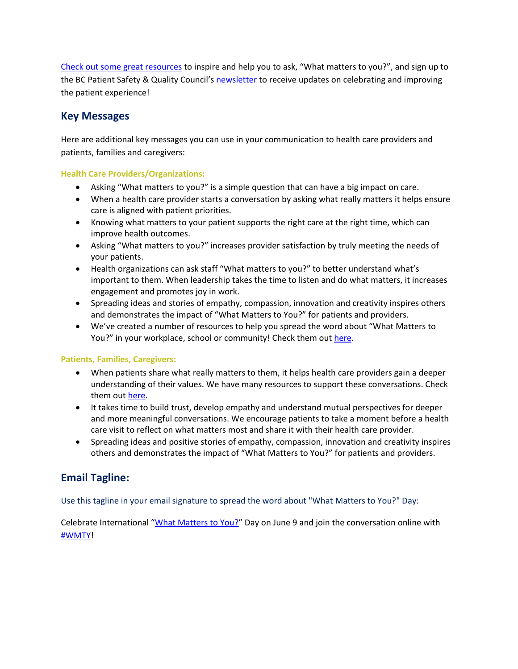[Check out some great resources](https://bcpsqc.ca/advance-the-patient-voice/what-matters-to-you/download-and-order-resources/) to inspire and help you to ask, "What matters to you?", and sign up to the BC Patient Safety & Quality Council'[s newsletter](https://bcpsqc.ca/about-the-council/our-newsletter/) to receive updates on celebrating and improving the patient experience!

# **Key Messages**

Here are additional key messages you can use in your communication to health care providers and patients, families and caregivers:

## **Health Care Providers/Organizations:**

- Asking "What matters to you?" is a simple question that can have a big impact on care.
- When a health care provider starts a conversation by asking what really matters it helps ensure care is aligned with patient priorities.
- Knowing what matters to your patient supports the right care at the right time, which can improve health outcomes.
- Asking "What matters to you?" increases provider satisfaction by truly meeting the needs of your patients.
- Health organizations can ask staff "What matters to you?" to better understand what's important to them. When leadership takes the time to listen and do what matters, it increases engagement and promotes joy in work.
- Spreading ideas and stories of empathy, compassion, innovation and creativity inspires others and demonstrates the impact of "What Matters to You?" for patients and providers.
- We've created a number of resources to help you spread the word about "What Matters to You?" in your workplace, school or community! Check them out [here.](https://bcpsqc.ca/advance-the-patient-voice/what-matters-to-you/download-and-order-resources/)

## **Patients, Families, Caregivers:**

- When patients share what really matters to them, it helps health care providers gain a deeper understanding of their values. We have many resources to support these conversations. Check them out [here.](https://bcpsqc.ca/advance-the-patient-voice/what-matters-to-you/download-and-order-resources/)
- It takes time to build trust, develop empathy and understand mutual perspectives for deeper and more meaningful conversations. We encourage patients to take a moment before a health care visit to reflect on what matters most and share it with their health care provider.
- Spreading ideas and positive stories of empathy, compassion, innovation and creativity inspires others and demonstrates the impact of "What Matters to You?" for patients and providers.

# **Email Tagline:**

Use this tagline in your email signature to spread the word about "What Matters to You?" Day:

Celebrate International ["What Matters to You?"](https://bcpsqc.ca/advance-the-patient-voice/what-matters-to-you) Day on June 9 and join the conversation online with [#WMTY!](https://twitter.com/hashtag/WMTY?src=hashtag_click)